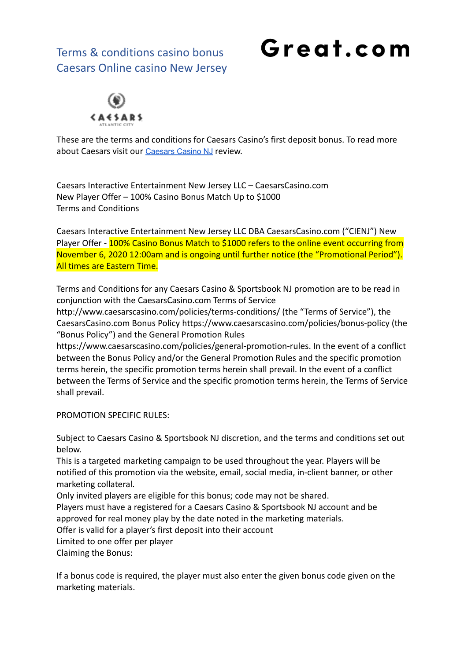# Great.com



These are the terms and conditions for Caesars Casino's first deposit bonus. To read more about [Caesars](https://great.com/en-us/online-casino/caesars-online-casino-nj/) visit our Caesars Casino NJ review.

Caesars Interactive Entertainment New Jersey LLC – CaesarsCasino.com New Player Offer – 100% Casino Bonus Match Up to \$1000 Terms and Conditions

Caesars Interactive Entertainment New Jersey LLC DBA CaesarsCasino.com ("CIENJ") New Player Offer - 100% Casino Bonus Match to \$1000 refers to the online event occurring from November 6, 2020 12:00am and is ongoing until further notice (the "Promotional Period"). All times are Eastern Time.

Terms and Conditions for any Caesars Casino & Sportsbook NJ promotion are to be read in conjunction with the CaesarsCasino.com Terms of Service

http://www.caesarscasino.com/policies/terms-conditions/ (the "Terms of Service"), the CaesarsCasino.com Bonus Policy https://www.caesarscasino.com/policies/bonus-policy (the "Bonus Policy") and the General Promotion Rules

https://www.caesarscasino.com/policies/general-promotion-rules. In the event of a conflict between the Bonus Policy and/or the General Promotion Rules and the specific promotion terms herein, the specific promotion terms herein shall prevail. In the event of a conflict between the Terms of Service and the specific promotion terms herein, the Terms of Service shall prevail.

PROMOTION SPECIFIC RULES:

Subject to Caesars Casino & Sportsbook NJ discretion, and the terms and conditions set out below.

This is a targeted marketing campaign to be used throughout the year. Players will be notified of this promotion via the website, email, social media, in-client banner, or other marketing collateral.

Only invited players are eligible for this bonus; code may not be shared.

Players must have a registered for a Caesars Casino & Sportsbook NJ account and be approved for real money play by the date noted in the marketing materials.

Offer is valid for a player's first deposit into their account

Limited to one offer per player

Claiming the Bonus:

If a bonus code is required, the player must also enter the given bonus code given on the marketing materials.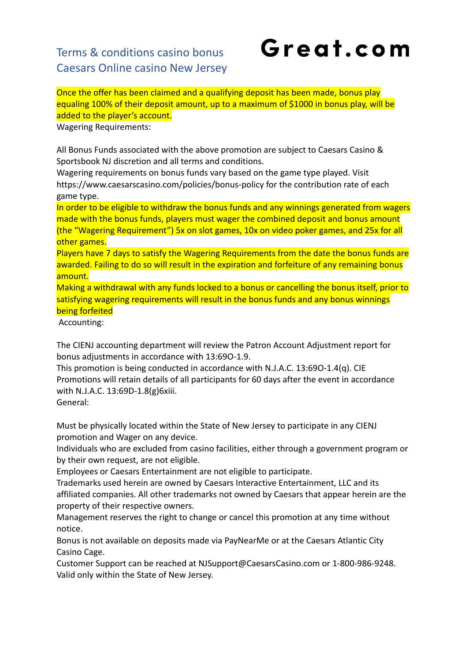# Great.com

Once the offer has been claimed and a qualifying deposit has been made, bonus play equaling 100% of their deposit amount, up to a maximum of \$1000 in bonus play, will be added to the player's account.

Wagering Requirements:

All Bonus Funds associated with the above promotion are subject to Caesars Casino & Sportsbook NJ discretion and all terms and conditions.

Wagering requirements on bonus funds vary based on the game type played. Visit https://www.caesarscasino.com/policies/bonus-policy for the contribution rate of each game type.

In order to be eligible to withdraw the bonus funds and any winnings generated from wagers made with the bonus funds, players must wager the combined deposit and bonus amount (the "Wagering Requirement") 5x on slot games, 10x on video poker games, and 25x for all other games.

Players have 7 days to satisfy the Wagering Requirements from the date the bonus funds are awarded. Failing to do so will result in the expiration and forfeiture of any remaining bonus amount.

Making a withdrawal with any funds locked to a bonus or cancelling the bonus itself, prior to satisfying wagering requirements will result in the bonus funds and any bonus winnings being forfeited

Accounting:

The CIENJ accounting department will review the Patron Account Adjustment report for bonus adjustments in accordance with 13:69O-1.9.

This promotion is being conducted in accordance with N.J.A.C. 13:69O-1.4(q). CIE Promotions will retain details of all participants for 60 days after the event in accordance with N.J.A.C. 13:69D-1.8(g)6xiii.

General:

Must be physically located within the State of New Jersey to participate in any CIENJ promotion and Wager on any device.

Individuals who are excluded from casino facilities, either through a government program or by their own request, are not eligible.

Employees or Caesars Entertainment are not eligible to participate.

Trademarks used herein are owned by Caesars Interactive Entertainment, LLC and its affiliated companies. All other trademarks not owned by Caesars that appear herein are the property of their respective owners.

Management reserves the right to change or cancel this promotion at any time without notice.

Bonus is not available on deposits made via PayNearMe or at the Caesars Atlantic City Casino Cage.

Customer Support can be reached at NJSupport@CaesarsCasino.com or 1-800-986-9248. Valid only within the State of New Jersey.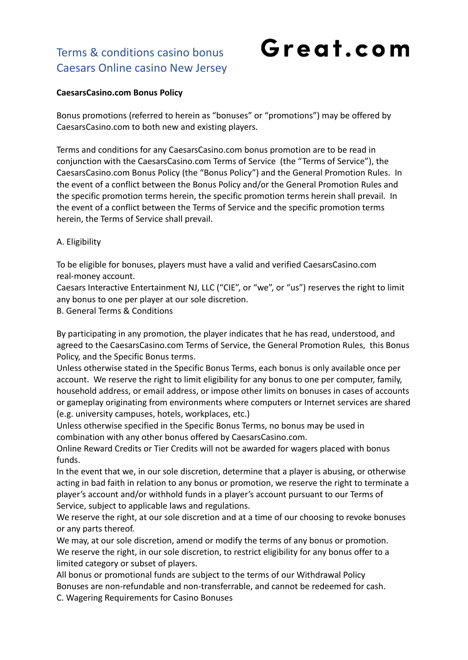# Great.com

#### **CaesarsCasino.com Bonus Policy**

Bonus promotions (referred to herein as "bonuses" or "promotions") may be offered by CaesarsCasino.com to both new and existing players.

Terms and conditions for any CaesarsCasino.com bonus promotion are to be read in conjunction with the CaesarsCasino.com Terms of Service (the "Terms of Service"), the CaesarsCasino.com Bonus Policy (the "Bonus Policy") and the General Promotion Rules. In the event of a conflict between the Bonus Policy and/or the General Promotion Rules and the specific promotion terms herein, the specific promotion terms herein shall prevail. In the event of a conflict between the Terms of Service and the specific promotion terms herein, the Terms of Service shall prevail.

#### A. Eligibility

To be eligible for bonuses, players must have a valid and verified CaesarsCasino.com real-money account.

Caesars Interactive Entertainment NJ, LLC ("CIE", or "we", or "us") reserves the right to limit any bonus to one per player at our sole discretion.

B. General Terms & Conditions

By participating in any promotion, the player indicates that he has read, understood, and agreed to the CaesarsCasino.com Terms of Service, the General Promotion Rules, this Bonus Policy, and the Specific Bonus terms.

Unless otherwise stated in the Specific Bonus Terms, each bonus is only available once per account. We reserve the right to limit eligibility for any bonus to one per computer, family, household address, or email address, or impose other limits on bonuses in cases of accounts or gameplay originating from environments where computers or Internet services are shared (e.g. university campuses, hotels, workplaces, etc.)

Unless otherwise specified in the Specific Bonus Terms, no bonus may be used in combination with any other bonus offered by CaesarsCasino.com.

Online Reward Credits or Tier Credits will not be awarded for wagers placed with bonus funds.

In the event that we, in our sole discretion, determine that a player is abusing, or otherwise acting in bad faith in relation to any bonus or promotion, we reserve the right to terminate a player's account and/or withhold funds in a player's account pursuant to our Terms of Service, subject to applicable laws and regulations.

We reserve the right, at our sole discretion and at a time of our choosing to revoke bonuses or any parts thereof.

We may, at our sole discretion, amend or modify the terms of any bonus or promotion. We reserve the right, in our sole discretion, to restrict eligibility for any bonus offer to a limited category or subset of players.

All bonus or promotional funds are subject to the terms of our Withdrawal Policy Bonuses are non-refundable and non-transferrable, and cannot be redeemed for cash.

C. Wagering Requirements for Casino Bonuses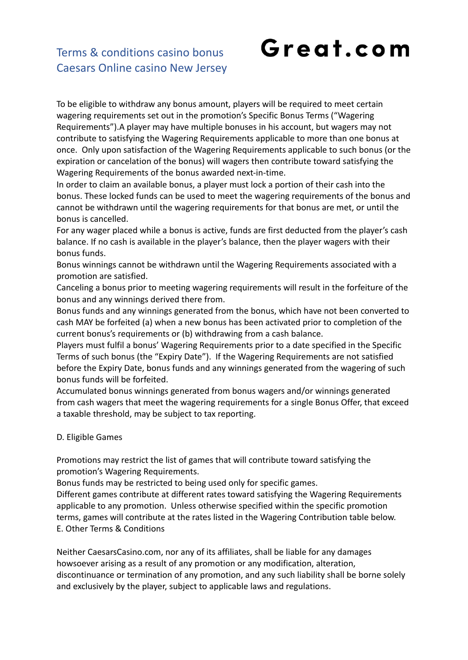## Great.com

#### Terms & conditions casino bonus Caesars Online casino New Jersey

To be eligible to withdraw any bonus amount, players will be required to meet certain wagering requirements set out in the promotion's Specific Bonus Terms ("Wagering Requirements").A player may have multiple bonuses in his account, but wagers may not contribute to satisfying the Wagering Requirements applicable to more than one bonus at once. Only upon satisfaction of the Wagering Requirements applicable to such bonus (or the expiration or cancelation of the bonus) will wagers then contribute toward satisfying the Wagering Requirements of the bonus awarded next-in-time.

In order to claim an available bonus, a player must lock a portion of their cash into the bonus. These locked funds can be used to meet the wagering requirements of the bonus and cannot be withdrawn until the wagering requirements for that bonus are met, or until the bonus is cancelled.

For any wager placed while a bonus is active, funds are first deducted from the player's cash balance. If no cash is available in the player's balance, then the player wagers with their bonus funds.

Bonus winnings cannot be withdrawn until the Wagering Requirements associated with a promotion are satisfied.

Canceling a bonus prior to meeting wagering requirements will result in the forfeiture of the bonus and any winnings derived there from.

Bonus funds and any winnings generated from the bonus, which have not been converted to cash MAY be forfeited (a) when a new bonus has been activated prior to completion of the current bonus's requirements or (b) withdrawing from a cash balance.

Players must fulfil a bonus' Wagering Requirements prior to a date specified in the Specific Terms of such bonus (the "Expiry Date"). If the Wagering Requirements are not satisfied before the Expiry Date, bonus funds and any winnings generated from the wagering of such bonus funds will be forfeited.

Accumulated bonus winnings generated from bonus wagers and/or winnings generated from cash wagers that meet the wagering requirements for a single Bonus Offer, that exceed a taxable threshold, may be subject to tax reporting.

#### D. Eligible Games

Promotions may restrict the list of games that will contribute toward satisfying the promotion's Wagering Requirements.

Bonus funds may be restricted to being used only for specific games.

Different games contribute at different rates toward satisfying the Wagering Requirements applicable to any promotion. Unless otherwise specified within the specific promotion terms, games will contribute at the rates listed in the Wagering Contribution table below. E. Other Terms & Conditions

Neither CaesarsCasino.com, nor any of its affiliates, shall be liable for any damages howsoever arising as a result of any promotion or any modification, alteration, discontinuance or termination of any promotion, and any such liability shall be borne solely and exclusively by the player, subject to applicable laws and regulations.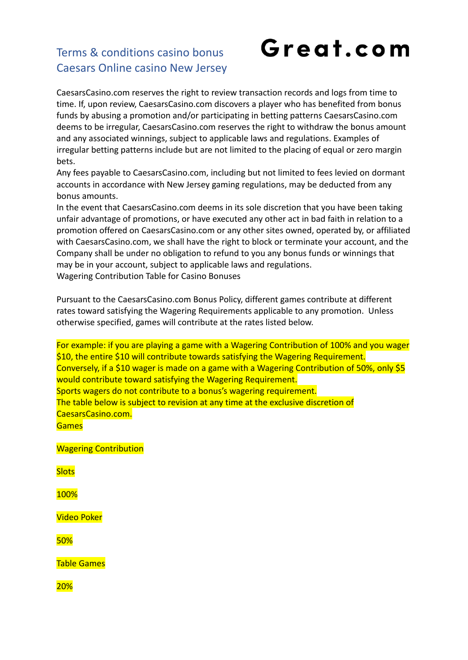# Great.com

CaesarsCasino.com reserves the right to review transaction records and logs from time to time. If, upon review, CaesarsCasino.com discovers a player who has benefited from bonus funds by abusing a promotion and/or participating in betting patterns CaesarsCasino.com deems to be irregular, CaesarsCasino.com reserves the right to withdraw the bonus amount and any associated winnings, subject to applicable laws and regulations. Examples of irregular betting patterns include but are not limited to the placing of equal or zero margin bets.

Any fees payable to CaesarsCasino.com, including but not limited to fees levied on dormant accounts in accordance with New Jersey gaming regulations, may be deducted from any bonus amounts.

In the event that CaesarsCasino.com deems in its sole discretion that you have been taking unfair advantage of promotions, or have executed any other act in bad faith in relation to a promotion offered on CaesarsCasino.com or any other sites owned, operated by, or affiliated with CaesarsCasino.com, we shall have the right to block or terminate your account, and the Company shall be under no obligation to refund to you any bonus funds or winnings that may be in your account, subject to applicable laws and regulations.

Wagering Contribution Table for Casino Bonuses

Pursuant to the CaesarsCasino.com Bonus Policy, different games contribute at different rates toward satisfying the Wagering Requirements applicable to any promotion. Unless otherwise specified, games will contribute at the rates listed below.

For example: if you are playing a game with a Wagering Contribution of 100% and you wager \$10, the entire \$10 will contribute towards satisfying the Wagering Requirement. Conversely, if a \$10 wager is made on a game with a Wagering Contribution of 50%, only \$5 would contribute toward satisfying the Wagering Requirement. Sports wagers do not contribute to a bonus's wagering requirement. The table below is subject to revision at any time at the exclusive discretion of CaesarsCasino.com. **Games** 

Wagering Contribution

**Slots** 

100%

Video Poker

50%

Table Games

20%